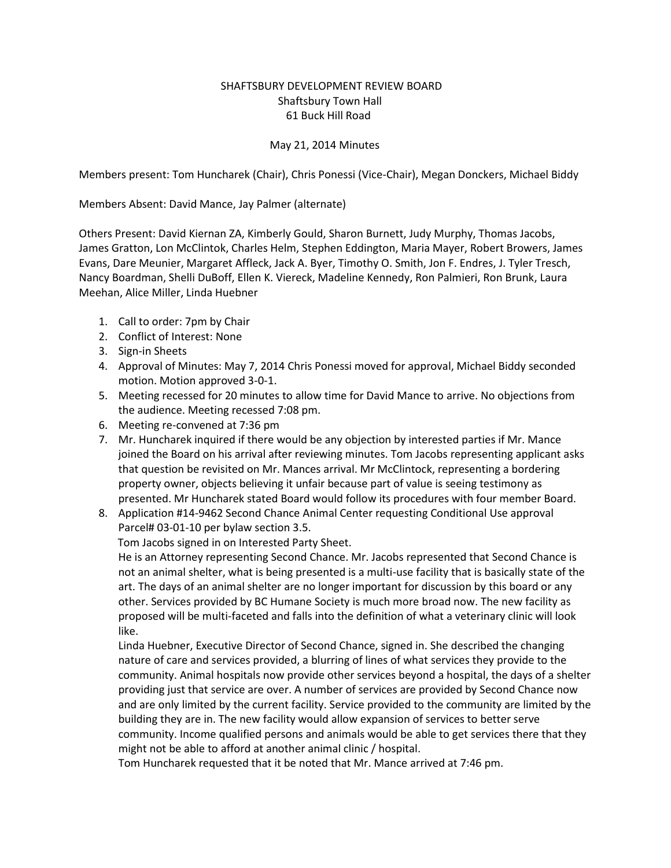## SHAFTSBURY DEVELOPMENT REVIEW BOARD Shaftsbury Town Hall 61 Buck Hill Road

## May 21, 2014 Minutes

Members present: Tom Huncharek (Chair), Chris Ponessi (Vice-Chair), Megan Donckers, Michael Biddy

Members Absent: David Mance, Jay Palmer (alternate)

Others Present: David Kiernan ZA, Kimberly Gould, Sharon Burnett, Judy Murphy, Thomas Jacobs, James Gratton, Lon McClintok, Charles Helm, Stephen Eddington, Maria Mayer, Robert Browers, James Evans, Dare Meunier, Margaret Affleck, Jack A. Byer, Timothy O. Smith, Jon F. Endres, J. Tyler Tresch, Nancy Boardman, Shelli DuBoff, Ellen K. Viereck, Madeline Kennedy, Ron Palmieri, Ron Brunk, Laura Meehan, Alice Miller, Linda Huebner

- 1. Call to order: 7pm by Chair
- 2. Conflict of Interest: None
- 3. Sign-in Sheets
- 4. Approval of Minutes: May 7, 2014 Chris Ponessi moved for approval, Michael Biddy seconded motion. Motion approved 3-0-1.
- 5. Meeting recessed for 20 minutes to allow time for David Mance to arrive. No objections from the audience. Meeting recessed 7:08 pm.
- 6. Meeting re-convened at 7:36 pm
- 7. Mr. Huncharek inquired if there would be any objection by interested parties if Mr. Mance joined the Board on his arrival after reviewing minutes. Tom Jacobs representing applicant asks that question be revisited on Mr. Mances arrival. Mr McClintock, representing a bordering property owner, objects believing it unfair because part of value is seeing testimony as presented. Mr Huncharek stated Board would follow its procedures with four member Board.
- 8. Application #14-9462 Second Chance Animal Center requesting Conditional Use approval Parcel# 03-01-10 per bylaw section 3.5.

Tom Jacobs signed in on Interested Party Sheet.

He is an Attorney representing Second Chance. Mr. Jacobs represented that Second Chance is not an animal shelter, what is being presented is a multi-use facility that is basically state of the art. The days of an animal shelter are no longer important for discussion by this board or any other. Services provided by BC Humane Society is much more broad now. The new facility as proposed will be multi-faceted and falls into the definition of what a veterinary clinic will look like.

Linda Huebner, Executive Director of Second Chance, signed in. She described the changing nature of care and services provided, a blurring of lines of what services they provide to the community. Animal hospitals now provide other services beyond a hospital, the days of a shelter providing just that service are over. A number of services are provided by Second Chance now and are only limited by the current facility. Service provided to the community are limited by the building they are in. The new facility would allow expansion of services to better serve community. Income qualified persons and animals would be able to get services there that they might not be able to afford at another animal clinic / hospital.

Tom Huncharek requested that it be noted that Mr. Mance arrived at 7:46 pm.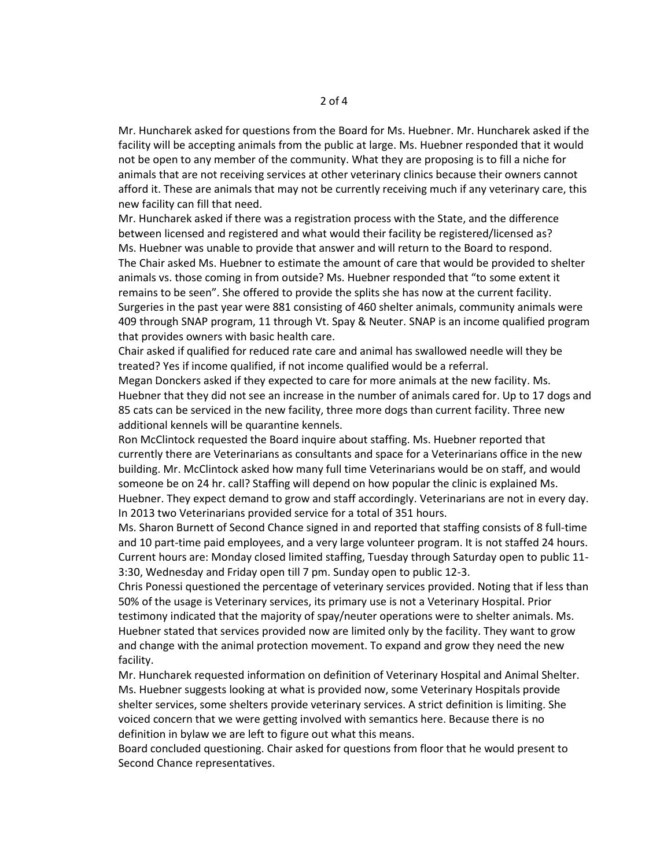Mr. Huncharek asked for questions from the Board for Ms. Huebner. Mr. Huncharek asked if the facility will be accepting animals from the public at large. Ms. Huebner responded that it would not be open to any member of the community. What they are proposing is to fill a niche for animals that are not receiving services at other veterinary clinics because their owners cannot afford it. These are animals that may not be currently receiving much if any veterinary care, this new facility can fill that need.

Mr. Huncharek asked if there was a registration process with the State, and the difference between licensed and registered and what would their facility be registered/licensed as? Ms. Huebner was unable to provide that answer and will return to the Board to respond. The Chair asked Ms. Huebner to estimate the amount of care that would be provided to shelter animals vs. those coming in from outside? Ms. Huebner responded that "to some extent it remains to be seen". She offered to provide the splits she has now at the current facility. Surgeries in the past year were 881 consisting of 460 shelter animals, community animals were 409 through SNAP program, 11 through Vt. Spay & Neuter. SNAP is an income qualified program that provides owners with basic health care.

Chair asked if qualified for reduced rate care and animal has swallowed needle will they be treated? Yes if income qualified, if not income qualified would be a referral.

Megan Donckers asked if they expected to care for more animals at the new facility. Ms. Huebner that they did not see an increase in the number of animals cared for. Up to 17 dogs and 85 cats can be serviced in the new facility, three more dogs than current facility. Three new additional kennels will be quarantine kennels.

Ron McClintock requested the Board inquire about staffing. Ms. Huebner reported that currently there are Veterinarians as consultants and space for a Veterinarians office in the new building. Mr. McClintock asked how many full time Veterinarians would be on staff, and would someone be on 24 hr. call? Staffing will depend on how popular the clinic is explained Ms. Huebner. They expect demand to grow and staff accordingly. Veterinarians are not in every day. In 2013 two Veterinarians provided service for a total of 351 hours.

Ms. Sharon Burnett of Second Chance signed in and reported that staffing consists of 8 full-time and 10 part-time paid employees, and a very large volunteer program. It is not staffed 24 hours. Current hours are: Monday closed limited staffing, Tuesday through Saturday open to public 11- 3:30, Wednesday and Friday open till 7 pm. Sunday open to public 12-3.

Chris Ponessi questioned the percentage of veterinary services provided. Noting that if less than 50% of the usage is Veterinary services, its primary use is not a Veterinary Hospital. Prior testimony indicated that the majority of spay/neuter operations were to shelter animals. Ms. Huebner stated that services provided now are limited only by the facility. They want to grow and change with the animal protection movement. To expand and grow they need the new facility.

Mr. Huncharek requested information on definition of Veterinary Hospital and Animal Shelter. Ms. Huebner suggests looking at what is provided now, some Veterinary Hospitals provide shelter services, some shelters provide veterinary services. A strict definition is limiting. She voiced concern that we were getting involved with semantics here. Because there is no definition in bylaw we are left to figure out what this means.

Board concluded questioning. Chair asked for questions from floor that he would present to Second Chance representatives.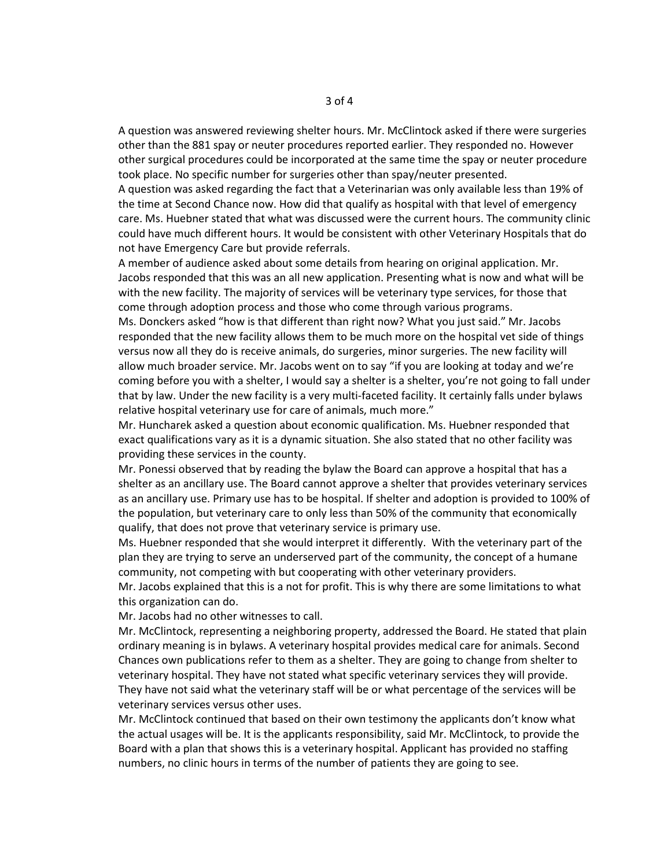A question was answered reviewing shelter hours. Mr. McClintock asked if there were surgeries other than the 881 spay or neuter procedures reported earlier. They responded no. However other surgical procedures could be incorporated at the same time the spay or neuter procedure took place. No specific number for surgeries other than spay/neuter presented.

A question was asked regarding the fact that a Veterinarian was only available less than 19% of the time at Second Chance now. How did that qualify as hospital with that level of emergency care. Ms. Huebner stated that what was discussed were the current hours. The community clinic could have much different hours. It would be consistent with other Veterinary Hospitals that do not have Emergency Care but provide referrals.

A member of audience asked about some details from hearing on original application. Mr. Jacobs responded that this was an all new application. Presenting what is now and what will be with the new facility. The majority of services will be veterinary type services, for those that come through adoption process and those who come through various programs.

Ms. Donckers asked "how is that different than right now? What you just said." Mr. Jacobs responded that the new facility allows them to be much more on the hospital vet side of things versus now all they do is receive animals, do surgeries, minor surgeries. The new facility will allow much broader service. Mr. Jacobs went on to say "if you are looking at today and we're coming before you with a shelter, I would say a shelter is a shelter, you're not going to fall under that by law. Under the new facility is a very multi-faceted facility. It certainly falls under bylaws relative hospital veterinary use for care of animals, much more."

Mr. Huncharek asked a question about economic qualification. Ms. Huebner responded that exact qualifications vary as it is a dynamic situation. She also stated that no other facility was providing these services in the county.

Mr. Ponessi observed that by reading the bylaw the Board can approve a hospital that has a shelter as an ancillary use. The Board cannot approve a shelter that provides veterinary services as an ancillary use. Primary use has to be hospital. If shelter and adoption is provided to 100% of the population, but veterinary care to only less than 50% of the community that economically qualify, that does not prove that veterinary service is primary use.

Ms. Huebner responded that she would interpret it differently. With the veterinary part of the plan they are trying to serve an underserved part of the community, the concept of a humane community, not competing with but cooperating with other veterinary providers.

Mr. Jacobs explained that this is a not for profit. This is why there are some limitations to what this organization can do.

Mr. Jacobs had no other witnesses to call.

Mr. McClintock, representing a neighboring property, addressed the Board. He stated that plain ordinary meaning is in bylaws. A veterinary hospital provides medical care for animals. Second Chances own publications refer to them as a shelter. They are going to change from shelter to veterinary hospital. They have not stated what specific veterinary services they will provide. They have not said what the veterinary staff will be or what percentage of the services will be veterinary services versus other uses.

Mr. McClintock continued that based on their own testimony the applicants don't know what the actual usages will be. It is the applicants responsibility, said Mr. McClintock, to provide the Board with a plan that shows this is a veterinary hospital. Applicant has provided no staffing numbers, no clinic hours in terms of the number of patients they are going to see.